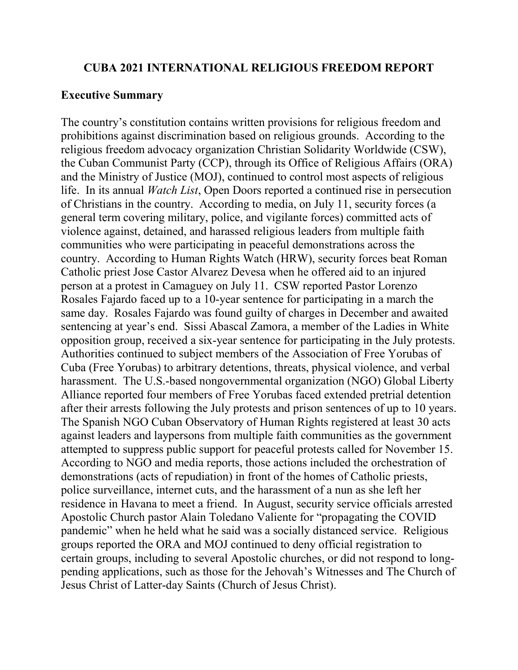#### **CUBA 2021 INTERNATIONAL RELIGIOUS FREEDOM REPORT**

#### **Executive Summary**

The country's constitution contains written provisions for religious freedom and prohibitions against discrimination based on religious grounds. According to the religious freedom advocacy organization Christian Solidarity Worldwide (CSW), the Cuban Communist Party (CCP), through its Office of Religious Affairs (ORA) and the Ministry of Justice (MOJ), continued to control most aspects of religious life. In its annual *Watch List*, Open Doors reported a continued rise in persecution of Christians in the country. According to media, on July 11, security forces (a general term covering military, police, and vigilante forces) committed acts of violence against, detained, and harassed religious leaders from multiple faith communities who were participating in peaceful demonstrations across the country. According to Human Rights Watch (HRW), security forces beat Roman Catholic priest Jose Castor Alvarez Devesa when he offered aid to an injured person at a protest in Camaguey on July 11. CSW reported Pastor Lorenzo Rosales Fajardo faced up to a 10-year sentence for participating in a march the same day. Rosales Fajardo was found guilty of charges in December and awaited sentencing at year's end. Sissi Abascal Zamora, a member of the Ladies in White opposition group, received a six-year sentence for participating in the July protests. Authorities continued to subject members of the Association of Free Yorubas of Cuba (Free Yorubas) to arbitrary detentions, threats, physical violence, and verbal harassment. The U.S.-based nongovernmental organization (NGO) Global Liberty Alliance reported four members of Free Yorubas faced extended pretrial detention after their arrests following the July protests and prison sentences of up to 10 years. The Spanish NGO Cuban Observatory of Human Rights registered at least 30 acts against leaders and laypersons from multiple faith communities as the government attempted to suppress public support for peaceful protests called for November 15. According to NGO and media reports, those actions included the orchestration of demonstrations (acts of repudiation) in front of the homes of Catholic priests, police surveillance, internet cuts, and the harassment of a nun as she left her residence in Havana to meet a friend. In August, security service officials arrested Apostolic Church pastor Alain Toledano Valiente for "propagating the COVID pandemic" when he held what he said was a socially distanced service. Religious groups reported the ORA and MOJ continued to deny official registration to certain groups, including to several Apostolic churches, or did not respond to longpending applications, such as those for the Jehovah's Witnesses and The Church of Jesus Christ of Latter-day Saints (Church of Jesus Christ).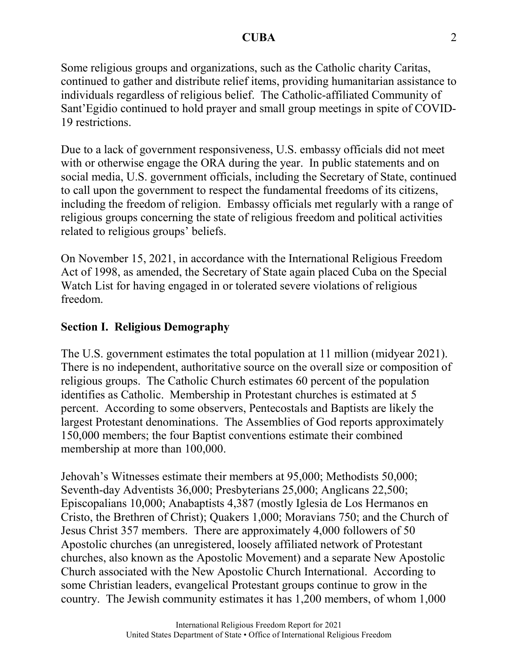Some religious groups and organizations, such as the Catholic charity Caritas, continued to gather and distribute relief items, providing humanitarian assistance to individuals regardless of religious belief. The Catholic-affiliated Community of Sant'Egidio continued to hold prayer and small group meetings in spite of COVID-19 restrictions.

Due to a lack of government responsiveness, U.S. embassy officials did not meet with or otherwise engage the ORA during the year. In public statements and on social media, U.S. government officials, including the Secretary of State, continued to call upon the government to respect the fundamental freedoms of its citizens, including the freedom of religion. Embassy officials met regularly with a range of religious groups concerning the state of religious freedom and political activities related to religious groups' beliefs.

On November 15, 2021, in accordance with the International Religious Freedom Act of 1998, as amended, the Secretary of State again placed Cuba on the Special Watch List for having engaged in or tolerated severe violations of religious freedom.

## **Section I. Religious Demography**

The U.S. government estimates the total population at 11 million (midyear 2021). There is no independent, authoritative source on the overall size or composition of religious groups. The Catholic Church estimates 60 percent of the population identifies as Catholic. Membership in Protestant churches is estimated at 5 percent. According to some observers, Pentecostals and Baptists are likely the largest Protestant denominations. The Assemblies of God reports approximately 150,000 members; the four Baptist conventions estimate their combined membership at more than 100,000.

Jehovah's Witnesses estimate their members at 95,000; Methodists 50,000; Seventh-day Adventists 36,000; Presbyterians 25,000; Anglicans 22,500; Episcopalians 10,000; Anabaptists 4,387 (mostly Iglesia de Los Hermanos en Cristo, the Brethren of Christ); Quakers 1,000; Moravians 750; and the Church of Jesus Christ 357 members. There are approximately 4,000 followers of 50 Apostolic churches (an unregistered, loosely affiliated network of Protestant churches, also known as the Apostolic Movement) and a separate New Apostolic Church associated with the New Apostolic Church International. According to some Christian leaders, evangelical Protestant groups continue to grow in the country. The Jewish community estimates it has 1,200 members, of whom 1,000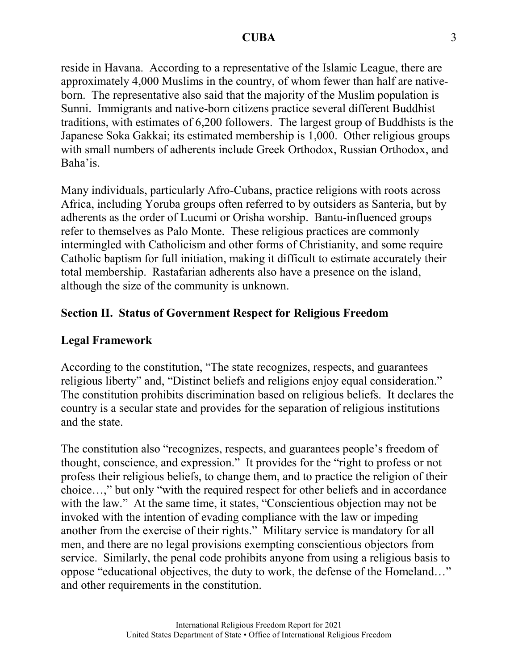reside in Havana. According to a representative of the Islamic League, there are approximately 4,000 Muslims in the country, of whom fewer than half are nativeborn. The representative also said that the majority of the Muslim population is Sunni. Immigrants and native-born citizens practice several different Buddhist traditions, with estimates of 6,200 followers. The largest group of Buddhists is the Japanese Soka Gakkai; its estimated membership is 1,000. Other religious groups with small numbers of adherents include Greek Orthodox, Russian Orthodox, and Baha'is.

Many individuals, particularly Afro-Cubans, practice religions with roots across Africa, including Yoruba groups often referred to by outsiders as Santeria, but by adherents as the order of Lucumi or Orisha worship. Bantu-influenced groups refer to themselves as Palo Monte. These religious practices are commonly intermingled with Catholicism and other forms of Christianity, and some require Catholic baptism for full initiation, making it difficult to estimate accurately their total membership. Rastafarian adherents also have a presence on the island, although the size of the community is unknown.

## **Section II. Status of Government Respect for Religious Freedom**

### **Legal Framework**

According to the constitution, "The state recognizes, respects, and guarantees religious liberty" and, "Distinct beliefs and religions enjoy equal consideration." The constitution prohibits discrimination based on religious beliefs. It declares the country is a secular state and provides for the separation of religious institutions and the state.

The constitution also "recognizes, respects, and guarantees people's freedom of thought, conscience, and expression." It provides for the "right to profess or not profess their religious beliefs, to change them, and to practice the religion of their choice…," but only "with the required respect for other beliefs and in accordance with the law." At the same time, it states, "Conscientious objection may not be invoked with the intention of evading compliance with the law or impeding another from the exercise of their rights." Military service is mandatory for all men, and there are no legal provisions exempting conscientious objectors from service. Similarly, the penal code prohibits anyone from using a religious basis to oppose "educational objectives, the duty to work, the defense of the Homeland…" and other requirements in the constitution.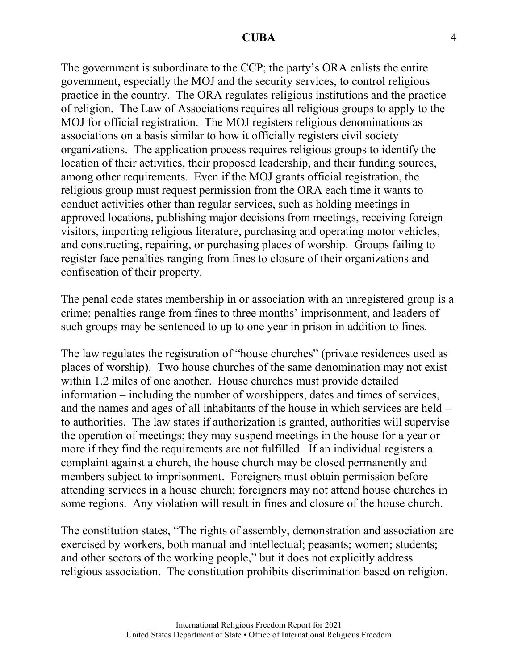The government is subordinate to the CCP; the party's ORA enlists the entire government, especially the MOJ and the security services, to control religious practice in the country. The ORA regulates religious institutions and the practice of religion. The Law of Associations requires all religious groups to apply to the MOJ for official registration. The MOJ registers religious denominations as associations on a basis similar to how it officially registers civil society organizations. The application process requires religious groups to identify the location of their activities, their proposed leadership, and their funding sources, among other requirements. Even if the MOJ grants official registration, the religious group must request permission from the ORA each time it wants to conduct activities other than regular services, such as holding meetings in approved locations, publishing major decisions from meetings, receiving foreign visitors, importing religious literature, purchasing and operating motor vehicles, and constructing, repairing, or purchasing places of worship. Groups failing to register face penalties ranging from fines to closure of their organizations and confiscation of their property.

The penal code states membership in or association with an unregistered group is a crime; penalties range from fines to three months' imprisonment, and leaders of such groups may be sentenced to up to one year in prison in addition to fines.

The law regulates the registration of "house churches" (private residences used as places of worship). Two house churches of the same denomination may not exist within 1.2 miles of one another. House churches must provide detailed information – including the number of worshippers, dates and times of services, and the names and ages of all inhabitants of the house in which services are held – to authorities. The law states if authorization is granted, authorities will supervise the operation of meetings; they may suspend meetings in the house for a year or more if they find the requirements are not fulfilled. If an individual registers a complaint against a church, the house church may be closed permanently and members subject to imprisonment. Foreigners must obtain permission before attending services in a house church; foreigners may not attend house churches in some regions. Any violation will result in fines and closure of the house church.

The constitution states, "The rights of assembly, demonstration and association are exercised by workers, both manual and intellectual; peasants; women; students; and other sectors of the working people," but it does not explicitly address religious association. The constitution prohibits discrimination based on religion.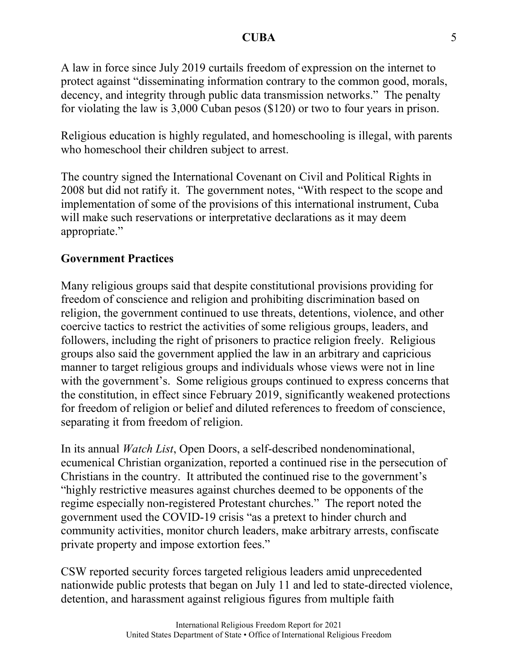A law in force since July 2019 curtails freedom of expression on the internet to protect against "disseminating information contrary to the common good, morals, decency, and integrity through public data transmission networks." The penalty for violating the law is 3,000 Cuban pesos (\$120) or two to four years in prison.

Religious education is highly regulated, and homeschooling is illegal, with parents who homeschool their children subject to arrest.

The country signed the International Covenant on Civil and Political Rights in 2008 but did not ratify it. The government notes, "With respect to the scope and implementation of some of the provisions of this international instrument, Cuba will make such reservations or interpretative declarations as it may deem appropriate."

## **Government Practices**

Many religious groups said that despite constitutional provisions providing for freedom of conscience and religion and prohibiting discrimination based on religion, the government continued to use threats, detentions, violence, and other coercive tactics to restrict the activities of some religious groups, leaders, and followers, including the right of prisoners to practice religion freely. Religious groups also said the government applied the law in an arbitrary and capricious manner to target religious groups and individuals whose views were not in line with the government's. Some religious groups continued to express concerns that the constitution, in effect since February 2019, significantly weakened protections for freedom of religion or belief and diluted references to freedom of conscience, separating it from freedom of religion.

In its annual *Watch List*, Open Doors, a self-described nondenominational, ecumenical Christian organization, reported a continued rise in the persecution of Christians in the country. It attributed the continued rise to the government's "highly restrictive measures against churches deemed to be opponents of the regime especially non-registered Protestant churches." The report noted the government used the COVID-19 crisis "as a pretext to hinder church and community activities, monitor church leaders, make arbitrary arrests, confiscate private property and impose extortion fees."

CSW reported security forces targeted religious leaders amid unprecedented nationwide public protests that began on July 11 and led to state-directed violence, detention, and harassment against religious figures from multiple faith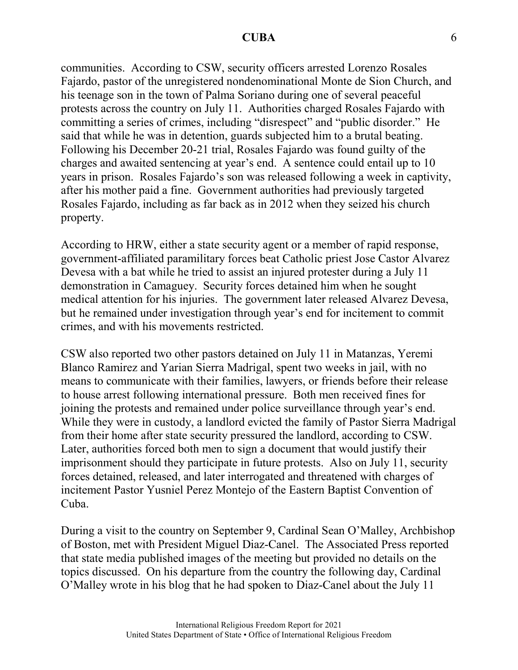communities. According to CSW, security officers arrested Lorenzo Rosales Fajardo, pastor of the unregistered nondenominational Monte de Sion Church, and his teenage son in the town of Palma Soriano during one of several peaceful protests across the country on July 11. Authorities charged Rosales Fajardo with committing a series of crimes, including "disrespect" and "public disorder." He said that while he was in detention, guards subjected him to a brutal beating. Following his December 20-21 trial, Rosales Fajardo was found guilty of the charges and awaited sentencing at year's end. A sentence could entail up to 10 years in prison. Rosales Fajardo's son was released following a week in captivity, after his mother paid a fine. Government authorities had previously targeted Rosales Fajardo, including as far back as in 2012 when they seized his church property.

According to HRW, either a state security agent or a member of rapid response, government-affiliated paramilitary forces beat Catholic priest Jose Castor Alvarez Devesa with a bat while he tried to assist an injured protester during a July 11 demonstration in Camaguey. Security forces detained him when he sought medical attention for his injuries. The government later released Alvarez Devesa, but he remained under investigation through year's end for incitement to commit crimes, and with his movements restricted.

CSW also reported two other pastors detained on July 11 in Matanzas, Yeremi Blanco Ramirez and Yarian Sierra Madrigal, spent two weeks in jail, with no means to communicate with their families, lawyers, or friends before their release to house arrest following international pressure. Both men received fines for joining the protests and remained under police surveillance through year's end. While they were in custody, a landlord evicted the family of Pastor Sierra Madrigal from their home after state security pressured the landlord, according to CSW. Later, authorities forced both men to sign a document that would justify their imprisonment should they participate in future protests. Also on July 11, security forces detained, released, and later interrogated and threatened with charges of incitement Pastor Yusniel Perez Montejo of the Eastern Baptist Convention of Cuba.

During a visit to the country on September 9, Cardinal Sean O'Malley, Archbishop of Boston, met with President Miguel Diaz-Canel. The Associated Press reported that state media published images of the meeting but provided no details on the topics discussed. On his departure from the country the following day, Cardinal O'Malley wrote in his blog that he had spoken to Diaz-Canel about the July 11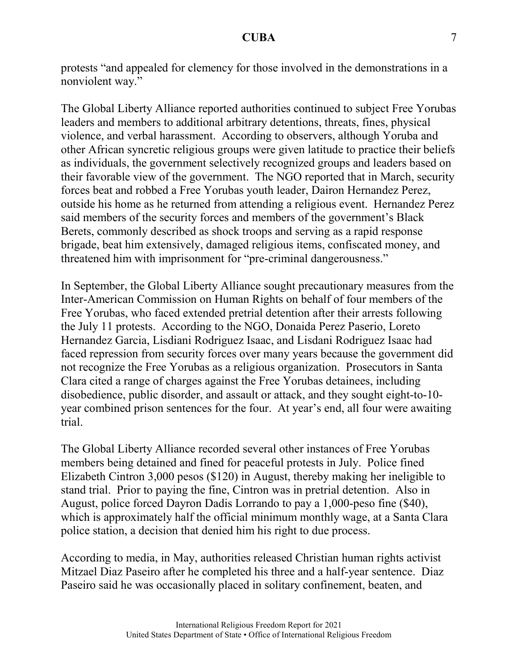protests "and appealed for clemency for those involved in the demonstrations in a nonviolent way."

The Global Liberty Alliance reported authorities continued to subject Free Yorubas leaders and members to additional arbitrary detentions, threats, fines, physical violence, and verbal harassment. According to observers, although Yoruba and other African syncretic religious groups were given latitude to practice their beliefs as individuals, the government selectively recognized groups and leaders based on their favorable view of the government. The NGO reported that in March, security forces beat and robbed a Free Yorubas youth leader, Dairon Hernandez Perez, outside his home as he returned from attending a religious event. Hernandez Perez said members of the security forces and members of the government's Black Berets, commonly described as shock troops and serving as a rapid response brigade, beat him extensively, damaged religious items, confiscated money, and threatened him with imprisonment for "pre-criminal dangerousness."

In September, the Global Liberty Alliance sought precautionary measures from the Inter-American Commission on Human Rights on behalf of four members of the Free Yorubas, who faced extended pretrial detention after their arrests following the July 11 protests. According to the NGO, Donaida Perez Paserio, Loreto Hernandez Garcia, Lisdiani Rodriguez Isaac, and Lisdani Rodriguez Isaac had faced repression from security forces over many years because the government did not recognize the Free Yorubas as a religious organization. Prosecutors in Santa Clara cited a range of charges against the Free Yorubas detainees, including disobedience, public disorder, and assault or attack, and they sought eight-to-10 year combined prison sentences for the four. At year's end, all four were awaiting trial.

The Global Liberty Alliance recorded several other instances of Free Yorubas members being detained and fined for peaceful protests in July. Police fined Elizabeth Cintron 3,000 pesos (\$120) in August, thereby making her ineligible to stand trial. Prior to paying the fine, Cintron was in pretrial detention. Also in August, police forced Dayron Dadis Lorrando to pay a 1,000-peso fine (\$40), which is approximately half the official minimum monthly wage, at a Santa Clara police station, a decision that denied him his right to due process.

According to media, in May, authorities released Christian human rights activist Mitzael Diaz Paseiro after he completed his three and a half-year sentence. Diaz Paseiro said he was occasionally placed in solitary confinement, beaten, and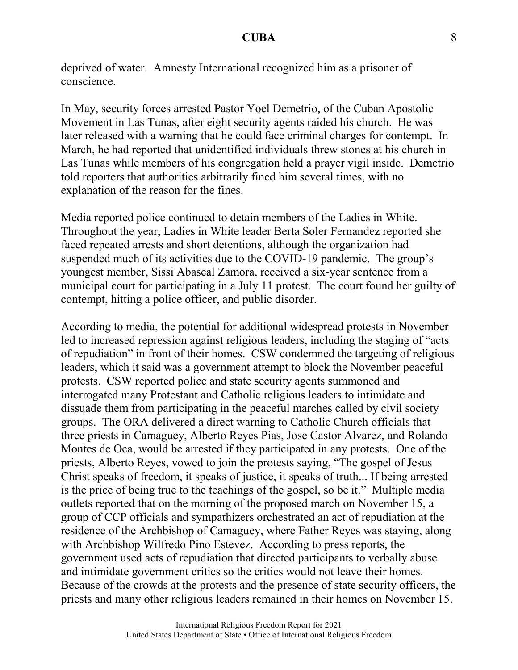deprived of water. Amnesty International recognized him as a prisoner of conscience.

In May, security forces arrested Pastor Yoel Demetrio, of the Cuban Apostolic Movement in Las Tunas, after eight security agents raided his church. He was later released with a warning that he could face criminal charges for contempt. In March, he had reported that unidentified individuals threw stones at his church in Las Tunas while members of his congregation held a prayer vigil inside. Demetrio told reporters that authorities arbitrarily fined him several times, with no explanation of the reason for the fines.

Media reported police continued to detain members of the Ladies in White. Throughout the year, Ladies in White leader Berta Soler Fernandez reported she faced repeated arrests and short detentions, although the organization had suspended much of its activities due to the COVID-19 pandemic. The group's youngest member, Sissi Abascal Zamora, received a six-year sentence from a municipal court for participating in a July 11 protest. The court found her guilty of contempt, hitting a police officer, and public disorder.

According to media, the potential for additional widespread protests in November led to increased repression against religious leaders, including the staging of "acts of repudiation" in front of their homes. CSW condemned the targeting of religious leaders, which it said was a government attempt to block the November peaceful protests. CSW reported police and state security agents summoned and interrogated many Protestant and Catholic religious leaders to intimidate and dissuade them from participating in the peaceful marches called by civil society groups. The ORA delivered a direct warning to Catholic Church officials that three priests in Camaguey, Alberto Reyes Pias, Jose Castor Alvarez, and Rolando Montes de Oca, would be arrested if they participated in any protests. One of the priests, Alberto Reyes, vowed to join the protests saying, "The gospel of Jesus Christ speaks of freedom, it speaks of justice, it speaks of truth... If being arrested is the price of being true to the teachings of the gospel, so be it." Multiple media outlets reported that on the morning of the proposed march on November 15, a group of CCP officials and sympathizers orchestrated an act of repudiation at the residence of the Archbishop of Camaguey, where Father Reyes was staying, along with Archbishop Wilfredo Pino Estevez. According to press reports, the government used acts of repudiation that directed participants to verbally abuse and intimidate government critics so the critics would not leave their homes. Because of the crowds at the protests and the presence of state security officers, the priests and many other religious leaders remained in their homes on November 15.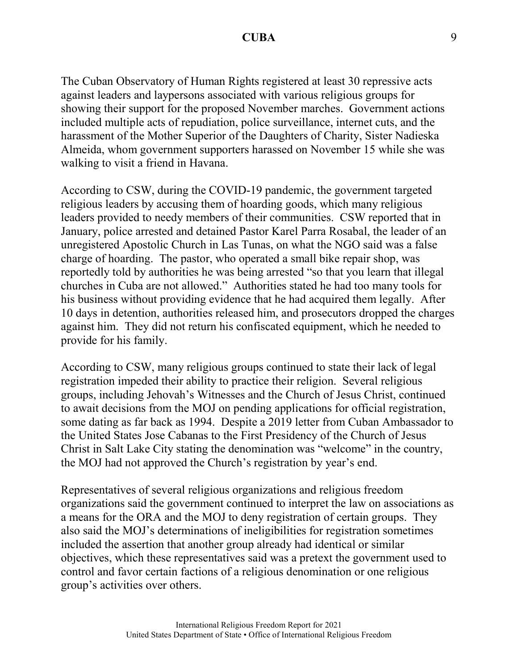The Cuban Observatory of Human Rights registered at least 30 repressive acts against leaders and laypersons associated with various religious groups for showing their support for the proposed November marches. Government actions included multiple acts of repudiation, police surveillance, internet cuts, and the harassment of the Mother Superior of the Daughters of Charity, Sister Nadieska Almeida, whom government supporters harassed on November 15 while she was walking to visit a friend in Havana.

According to CSW, during the COVID-19 pandemic, the government targeted religious leaders by accusing them of hoarding goods, which many religious leaders provided to needy members of their communities. CSW reported that in January, police arrested and detained Pastor Karel Parra Rosabal, the leader of an unregistered Apostolic Church in Las Tunas, on what the NGO said was a false charge of hoarding. The pastor, who operated a small bike repair shop, was reportedly told by authorities he was being arrested "so that you learn that illegal churches in Cuba are not allowed." Authorities stated he had too many tools for his business without providing evidence that he had acquired them legally. After 10 days in detention, authorities released him, and prosecutors dropped the charges against him. They did not return his confiscated equipment, which he needed to provide for his family.

According to CSW, many religious groups continued to state their lack of legal registration impeded their ability to practice their religion. Several religious groups, including Jehovah's Witnesses and the Church of Jesus Christ, continued to await decisions from the MOJ on pending applications for official registration, some dating as far back as 1994. Despite a 2019 letter from Cuban Ambassador to the United States Jose Cabanas to the First Presidency of the Church of Jesus Christ in Salt Lake City stating the denomination was "welcome" in the country, the MOJ had not approved the Church's registration by year's end.

Representatives of several religious organizations and religious freedom organizations said the government continued to interpret the law on associations as a means for the ORA and the MOJ to deny registration of certain groups. They also said the MOJ's determinations of ineligibilities for registration sometimes included the assertion that another group already had identical or similar objectives, which these representatives said was a pretext the government used to control and favor certain factions of a religious denomination or one religious group's activities over others.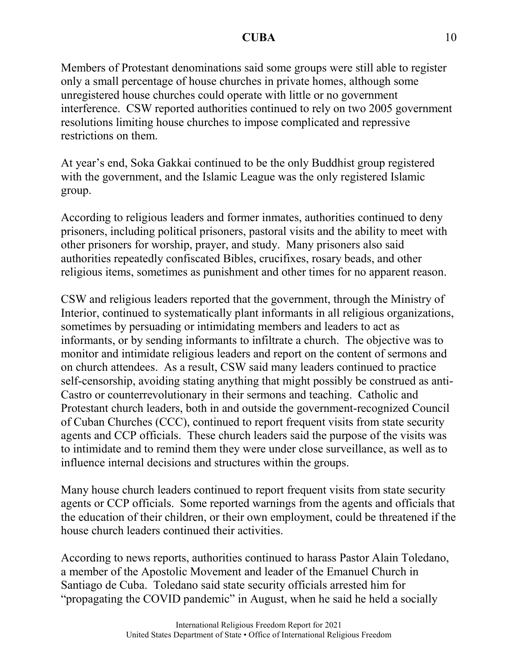Members of Protestant denominations said some groups were still able to register only a small percentage of house churches in private homes, although some unregistered house churches could operate with little or no government interference. CSW reported authorities continued to rely on two 2005 government resolutions limiting house churches to impose complicated and repressive restrictions on them.

At year's end, Soka Gakkai continued to be the only Buddhist group registered with the government, and the Islamic League was the only registered Islamic group.

According to religious leaders and former inmates, authorities continued to deny prisoners, including political prisoners, pastoral visits and the ability to meet with other prisoners for worship, prayer, and study. Many prisoners also said authorities repeatedly confiscated Bibles, crucifixes, rosary beads, and other religious items, sometimes as punishment and other times for no apparent reason.

CSW and religious leaders reported that the government, through the Ministry of Interior, continued to systematically plant informants in all religious organizations, sometimes by persuading or intimidating members and leaders to act as informants, or by sending informants to infiltrate a church. The objective was to monitor and intimidate religious leaders and report on the content of sermons and on church attendees. As a result, CSW said many leaders continued to practice self-censorship, avoiding stating anything that might possibly be construed as anti-Castro or counterrevolutionary in their sermons and teaching. Catholic and Protestant church leaders, both in and outside the government-recognized Council of Cuban Churches (CCC), continued to report frequent visits from state security agents and CCP officials. These church leaders said the purpose of the visits was to intimidate and to remind them they were under close surveillance, as well as to influence internal decisions and structures within the groups.

Many house church leaders continued to report frequent visits from state security agents or CCP officials. Some reported warnings from the agents and officials that the education of their children, or their own employment, could be threatened if the house church leaders continued their activities.

According to news reports, authorities continued to harass Pastor Alain Toledano, a member of the Apostolic Movement and leader of the Emanuel Church in Santiago de Cuba. Toledano said state security officials arrested him for "propagating the COVID pandemic" in August, when he said he held a socially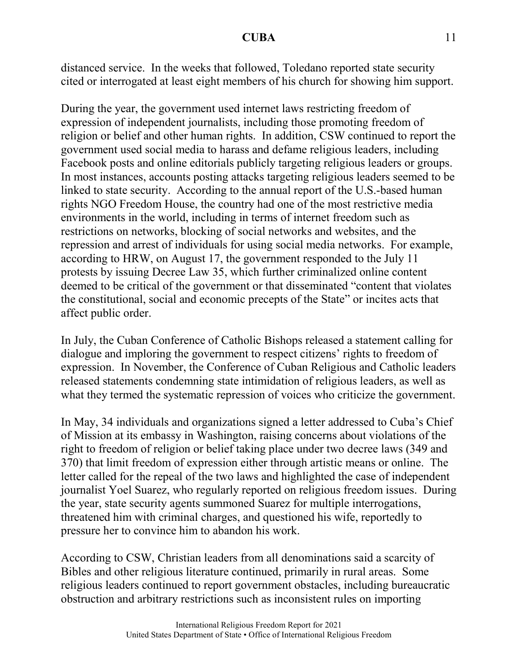distanced service. In the weeks that followed, Toledano reported state security cited or interrogated at least eight members of his church for showing him support.

During the year, the government used internet laws restricting freedom of expression of independent journalists, including those promoting freedom of religion or belief and other human rights. In addition, CSW continued to report the government used social media to harass and defame religious leaders, including Facebook posts and online editorials publicly targeting religious leaders or groups. In most instances, accounts posting attacks targeting religious leaders seemed to be linked to state security. According to the annual report of the U.S.-based human rights NGO Freedom House, the country had one of the most restrictive media environments in the world, including in terms of internet freedom such as restrictions on networks, blocking of social networks and websites, and the repression and arrest of individuals for using social media networks. For example, according to HRW, on August 17, the government responded to the July 11 protests by issuing Decree Law 35, which further criminalized online content deemed to be critical of the government or that disseminated "content that violates the constitutional, social and economic precepts of the State" or incites acts that affect public order.

In July, the Cuban Conference of Catholic Bishops released a statement calling for dialogue and imploring the government to respect citizens' rights to freedom of expression. In November, the Conference of Cuban Religious and Catholic leaders released statements condemning state intimidation of religious leaders, as well as what they termed the systematic repression of voices who criticize the government.

In May, 34 individuals and organizations signed a letter addressed to Cuba's Chief of Mission at its embassy in Washington, raising concerns about violations of the right to freedom of religion or belief taking place under two decree laws (349 and 370) that limit freedom of expression either through artistic means or online. The letter called for the repeal of the two laws and highlighted the case of independent journalist Yoel Suarez, who regularly reported on religious freedom issues. During the year, state security agents summoned Suarez for multiple interrogations, threatened him with criminal charges, and questioned his wife, reportedly to pressure her to convince him to abandon his work.

According to CSW, Christian leaders from all denominations said a scarcity of Bibles and other religious literature continued, primarily in rural areas. Some religious leaders continued to report government obstacles, including bureaucratic obstruction and arbitrary restrictions such as inconsistent rules on importing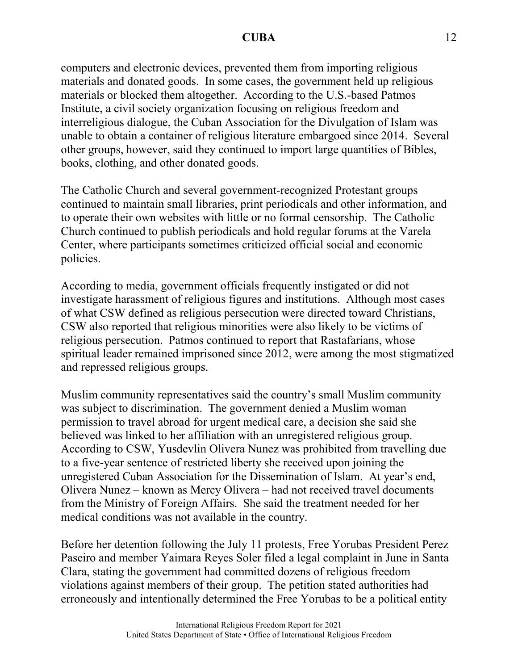computers and electronic devices, prevented them from importing religious materials and donated goods. In some cases, the government held up religious materials or blocked them altogether. According to the U.S.-based Patmos Institute, a civil society organization focusing on religious freedom and interreligious dialogue, the Cuban Association for the Divulgation of Islam was unable to obtain a container of religious literature embargoed since 2014. Several other groups, however, said they continued to import large quantities of Bibles, books, clothing, and other donated goods.

The Catholic Church and several government-recognized Protestant groups continued to maintain small libraries, print periodicals and other information, and to operate their own websites with little or no formal censorship. The Catholic Church continued to publish periodicals and hold regular forums at the Varela Center, where participants sometimes criticized official social and economic policies.

According to media, government officials frequently instigated or did not investigate harassment of religious figures and institutions. Although most cases of what CSW defined as religious persecution were directed toward Christians, CSW also reported that religious minorities were also likely to be victims of religious persecution. Patmos continued to report that Rastafarians, whose spiritual leader remained imprisoned since 2012, were among the most stigmatized and repressed religious groups.

Muslim community representatives said the country's small Muslim community was subject to discrimination. The government denied a Muslim woman permission to travel abroad for urgent medical care, a decision she said she believed was linked to her affiliation with an unregistered religious group. According to CSW, Yusdevlin Olivera Nunez was prohibited from travelling due to a five-year sentence of restricted liberty she received upon joining the unregistered Cuban Association for the Dissemination of Islam. At year's end, Olivera Nunez – known as Mercy Olivera – had not received travel documents from the Ministry of Foreign Affairs. She said the treatment needed for her medical conditions was not available in the country.

Before her detention following the July 11 protests, Free Yorubas President Perez Paseiro and member Yaimara Reyes Soler filed a legal complaint in June in Santa Clara, stating the government had committed dozens of religious freedom violations against members of their group. The petition stated authorities had erroneously and intentionally determined the Free Yorubas to be a political entity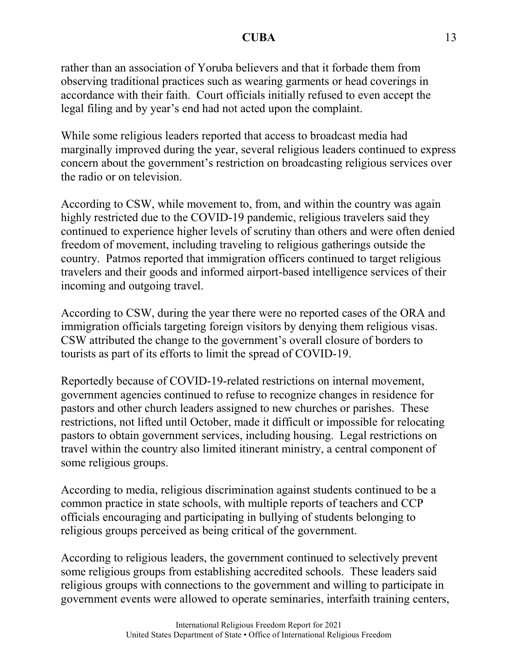rather than an association of Yoruba believers and that it forbade them from observing traditional practices such as wearing garments or head coverings in accordance with their faith. Court officials initially refused to even accept the legal filing and by year's end had not acted upon the complaint.

While some religious leaders reported that access to broadcast media had marginally improved during the year, several religious leaders continued to express concern about the government's restriction on broadcasting religious services over the radio or on television.

According to CSW, while movement to, from, and within the country was again highly restricted due to the COVID-19 pandemic, religious travelers said they continued to experience higher levels of scrutiny than others and were often denied freedom of movement, including traveling to religious gatherings outside the country. Patmos reported that immigration officers continued to target religious travelers and their goods and informed airport-based intelligence services of their incoming and outgoing travel.

According to CSW, during the year there were no reported cases of the ORA and immigration officials targeting foreign visitors by denying them religious visas. CSW attributed the change to the government's overall closure of borders to tourists as part of its efforts to limit the spread of COVID-19.

Reportedly because of COVID-19-related restrictions on internal movement, government agencies continued to refuse to recognize changes in residence for pastors and other church leaders assigned to new churches or parishes. These restrictions, not lifted until October, made it difficult or impossible for relocating pastors to obtain government services, including housing. Legal restrictions on travel within the country also limited itinerant ministry, a central component of some religious groups.

According to media, religious discrimination against students continued to be a common practice in state schools, with multiple reports of teachers and CCP officials encouraging and participating in bullying of students belonging to religious groups perceived as being critical of the government.

According to religious leaders, the government continued to selectively prevent some religious groups from establishing accredited schools. These leaders said religious groups with connections to the government and willing to participate in government events were allowed to operate seminaries, interfaith training centers,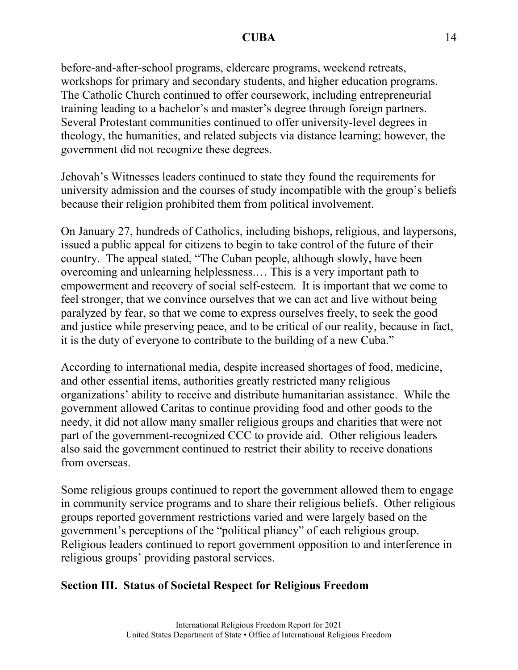before-and-after-school programs, eldercare programs, weekend retreats, workshops for primary and secondary students, and higher education programs. The Catholic Church continued to offer coursework, including entrepreneurial training leading to a bachelor's and master's degree through foreign partners. Several Protestant communities continued to offer university-level degrees in theology, the humanities, and related subjects via distance learning; however, the government did not recognize these degrees.

Jehovah's Witnesses leaders continued to state they found the requirements for university admission and the courses of study incompatible with the group's beliefs because their religion prohibited them from political involvement.

On January 27, hundreds of Catholics, including bishops, religious, and laypersons, issued a public appeal for citizens to begin to take control of the future of their country. The appeal stated, "The Cuban people, although slowly, have been overcoming and unlearning helplessness.… This is a very important path to empowerment and recovery of social self-esteem. It is important that we come to feel stronger, that we convince ourselves that we can act and live without being paralyzed by fear, so that we come to express ourselves freely, to seek the good and justice while preserving peace, and to be critical of our reality, because in fact, it is the duty of everyone to contribute to the building of a new Cuba."

According to international media, despite increased shortages of food, medicine, and other essential items, authorities greatly restricted many religious organizations' ability to receive and distribute humanitarian assistance. While the government allowed Caritas to continue providing food and other goods to the needy, it did not allow many smaller religious groups and charities that were not part of the government-recognized CCC to provide aid. Other religious leaders also said the government continued to restrict their ability to receive donations from overseas.

Some religious groups continued to report the government allowed them to engage in community service programs and to share their religious beliefs. Other religious groups reported government restrictions varied and were largely based on the government's perceptions of the "political pliancy" of each religious group. Religious leaders continued to report government opposition to and interference in religious groups' providing pastoral services.

# **Section III. Status of Societal Respect for Religious Freedom**